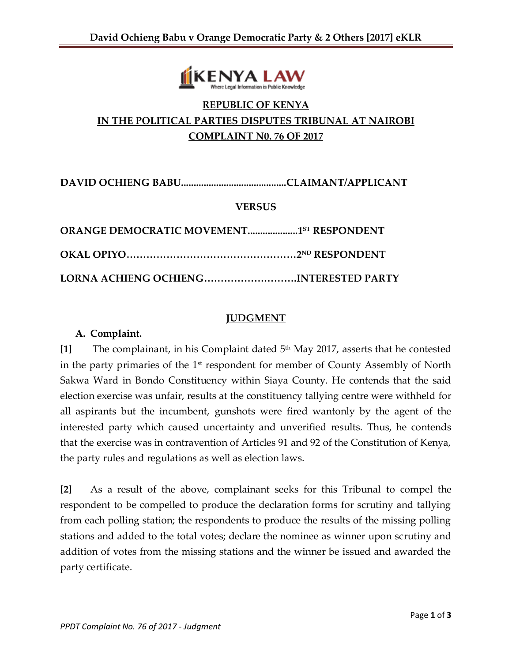

# **REPUBLIC OF KENYA IN THE POLITICAL PARTIES DISPUTES TRIBUNAL AT NAIROBI COMPLAINT N0. 76 OF 2017**

**DAVID OCHIENG BABU..........................................CLAIMANT/APPLICANT**

## **VERSUS**

| <b>ORANGE DEMOCRATIC MOVEMENT15T RESPONDENT</b> |  |
|-------------------------------------------------|--|
|                                                 |  |
| LORNA ACHIENG OCHIENGINTERESTED PARTY           |  |

#### **JUDGMENT**

#### **A. Complaint.**

[1] The complainant, in his Complaint dated 5<sup>th</sup> May 2017, asserts that he contested in the party primaries of the  $1<sup>st</sup>$  respondent for member of County Assembly of North Sakwa Ward in Bondo Constituency within Siaya County. He contends that the said election exercise was unfair, results at the constituency tallying centre were withheld for all aspirants but the incumbent, gunshots were fired wantonly by the agent of the interested party which caused uncertainty and unverified results. Thus, he contends that the exercise was in contravention of Articles 91 and 92 of the Constitution of Kenya, the party rules and regulations as well as election laws.

**[2]** As a result of the above, complainant seeks for this Tribunal to compel the respondent to be compelled to produce the declaration forms for scrutiny and tallying from each polling station; the respondents to produce the results of the missing polling stations and added to the total votes; declare the nominee as winner upon scrutiny and addition of votes from the missing stations and the winner be issued and awarded the party certificate.